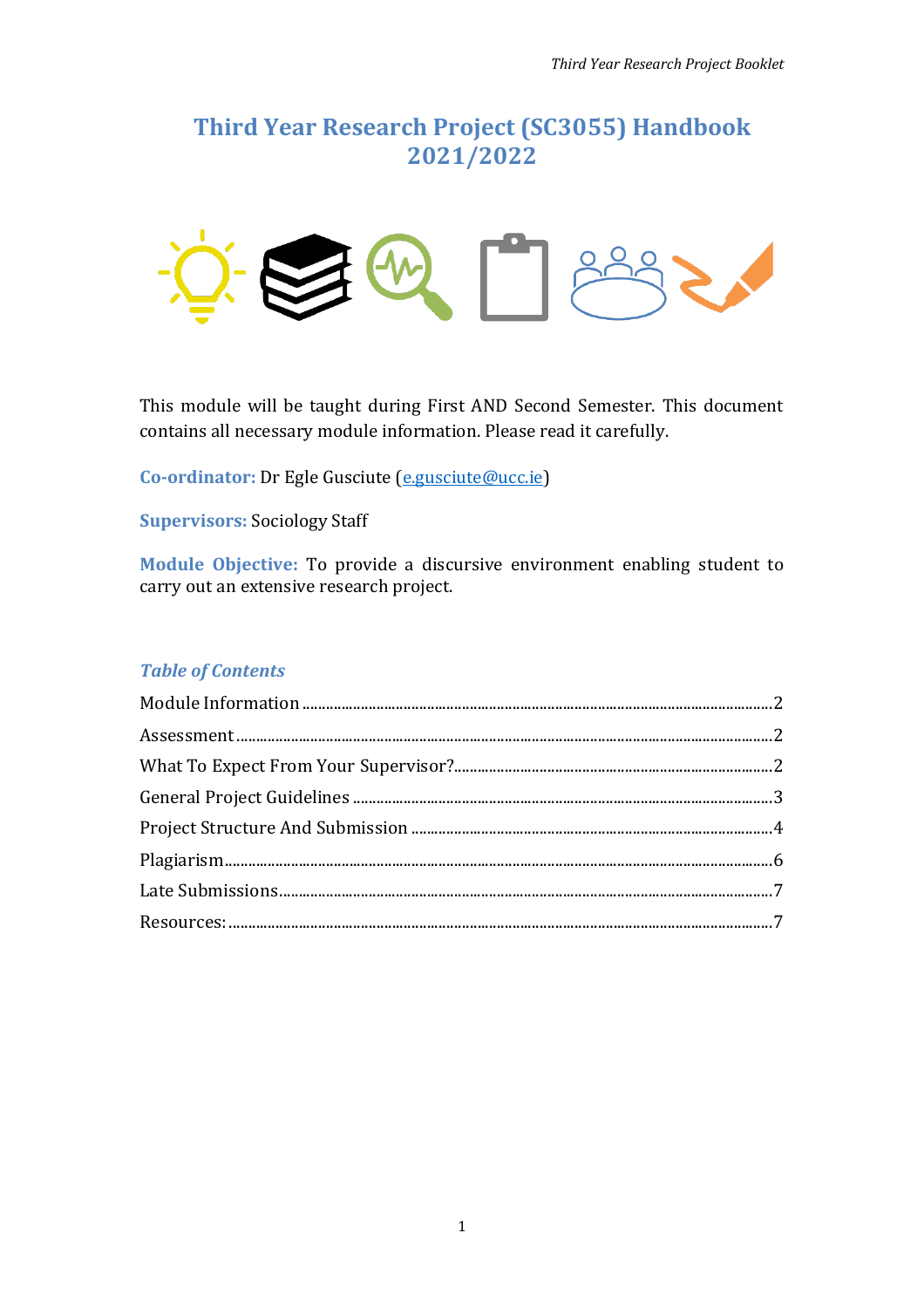# **Third Year Research Project (SC3055) Handbook 2021/2022**



This module will be taught during First AND Second Semester. This document contains all necessary module information. Please read it carefully.

**Co-ordinator:** Dr Egle Gusciute [\(e.gusciute@ucc.ie\)](mailto:e.gusciute@ucc.ie)

**Supervisors:** Sociology Staff

**Module Objective:** To provide a discursive environment enabling student to carry out an extensive research project.

## *Table of Contents*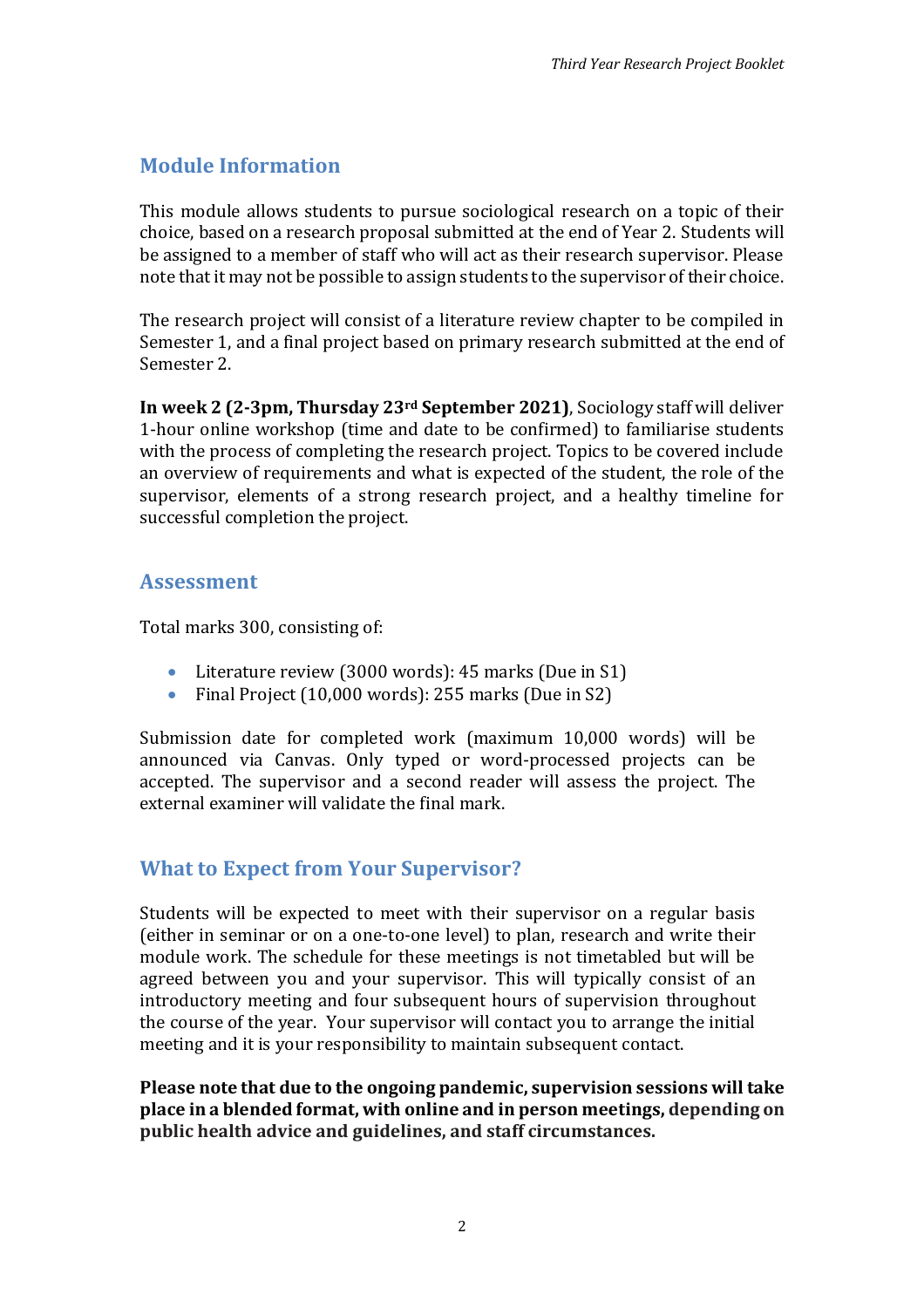# <span id="page-1-0"></span>**Module Information**

This module allows students to pursue sociological research on a topic of their choice, based on a research proposal submitted at the end of Year 2. Students will be assigned to a member of staff who will act as their research supervisor. Please note that it may not be possible to assign students to the supervisor of their choice.

The research project will consist of a literature review chapter to be compiled in Semester 1, and a final project based on primary research submitted at the end of Semester 2.

**In week 2 (2-3pm, Thursday 23rd September 2021)**, Sociology staff will deliver 1-hour online workshop (time and date to be confirmed) to familiarise students with the process of completing the research project. Topics to be covered include an overview of requirements and what is expected of the student, the role of the supervisor, elements of a strong research project, and a healthy timeline for successful completion the project.

## <span id="page-1-1"></span>**Assessment**

Total marks 300, consisting of:

- Literature review (3000 words): 45 marks (Due in S1)
- Final Project (10,000 words): 255 marks (Due in S2)

Submission date for completed work (maximum 10,000 words) will be announced via Canvas. Only typed or word-processed projects can be accepted. The supervisor and a second reader will assess the project. The external examiner will validate the final mark.

## <span id="page-1-2"></span>**What to Expect from Your Supervisor?**

Students will be expected to meet with their supervisor on a regular basis (either in seminar or on a one-to-one level) to plan, research and write their module work. The schedule for these meetings is not timetabled but will be agreed between you and your supervisor. This will typically consist of an introductory meeting and four subsequent hours of supervision throughout the course of the year. Your supervisor will contact you to arrange the initial meeting and it is your responsibility to maintain subsequent contact.

**Please note that due to the ongoing pandemic, supervision sessions will take place in a blended format, with online and in person meetings, depending on public health advice and guidelines, and staff circumstances.**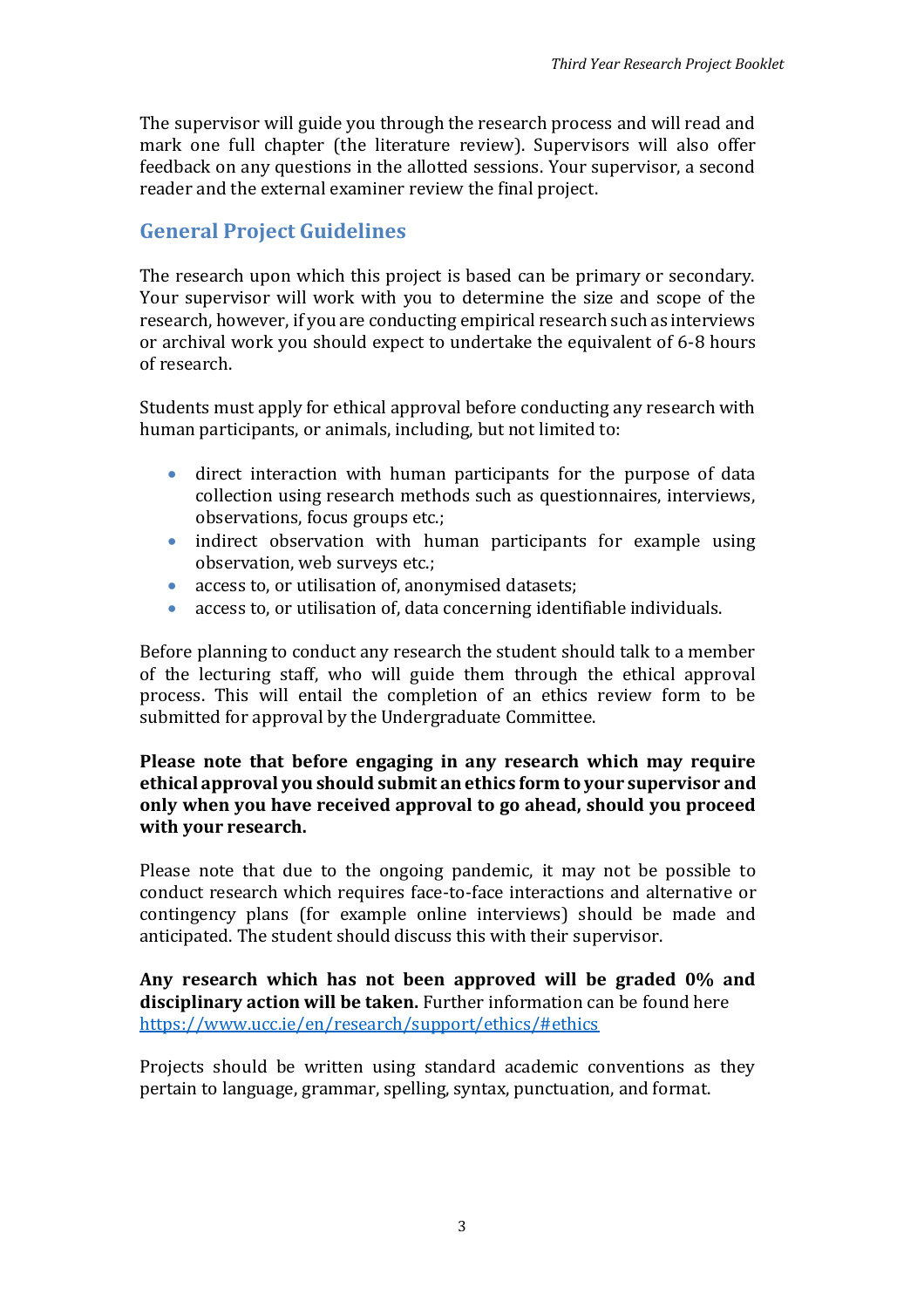The supervisor will guide you through the research process and will read and mark one full chapter (the literature review). Supervisors will also offer feedback on any questions in the allotted sessions. Your supervisor, a second reader and the external examiner review the final project.

## <span id="page-2-0"></span>**General Project Guidelines**

The research upon which this project is based can be primary or secondary. Your supervisor will work with you to determine the size and scope of the research, however, if you are conducting empirical research such as interviews or archival work you should expect to undertake the equivalent of 6-8 hours of research.

Students must apply for ethical approval before conducting any research with human participants, or animals, including, but not limited to:

- direct interaction with human participants for the purpose of data collection using research methods such as questionnaires, interviews, observations, focus groups etc.;
- indirect observation with human participants for example using observation, web surveys etc.;
- access to, or utilisation of, anonymised datasets;
- access to, or utilisation of, data concerning identifiable individuals.

Before planning to conduct any research the student should talk to a member of the lecturing staff, who will guide them through the ethical approval process. This will entail the completion of an ethics review form to be submitted for approval by the Undergraduate Committee.

### **Please note that before engaging in any research which may require ethical approval you should submit an ethics form to your supervisor and only when you have received approval to go ahead, should you proceed with your research.**

Please note that due to the ongoing pandemic, it may not be possible to conduct research which requires face-to-face interactions and alternative or contingency plans (for example online interviews) should be made and anticipated. The student should discuss this with their supervisor.

**Any research which has not been approved will be graded 0% and disciplinary action will be taken.** Further information can be found here <https://www.ucc.ie/en/research/support/ethics/#ethics>

Projects should be written using standard academic conventions as they pertain to language, grammar, spelling, syntax, punctuation, and format.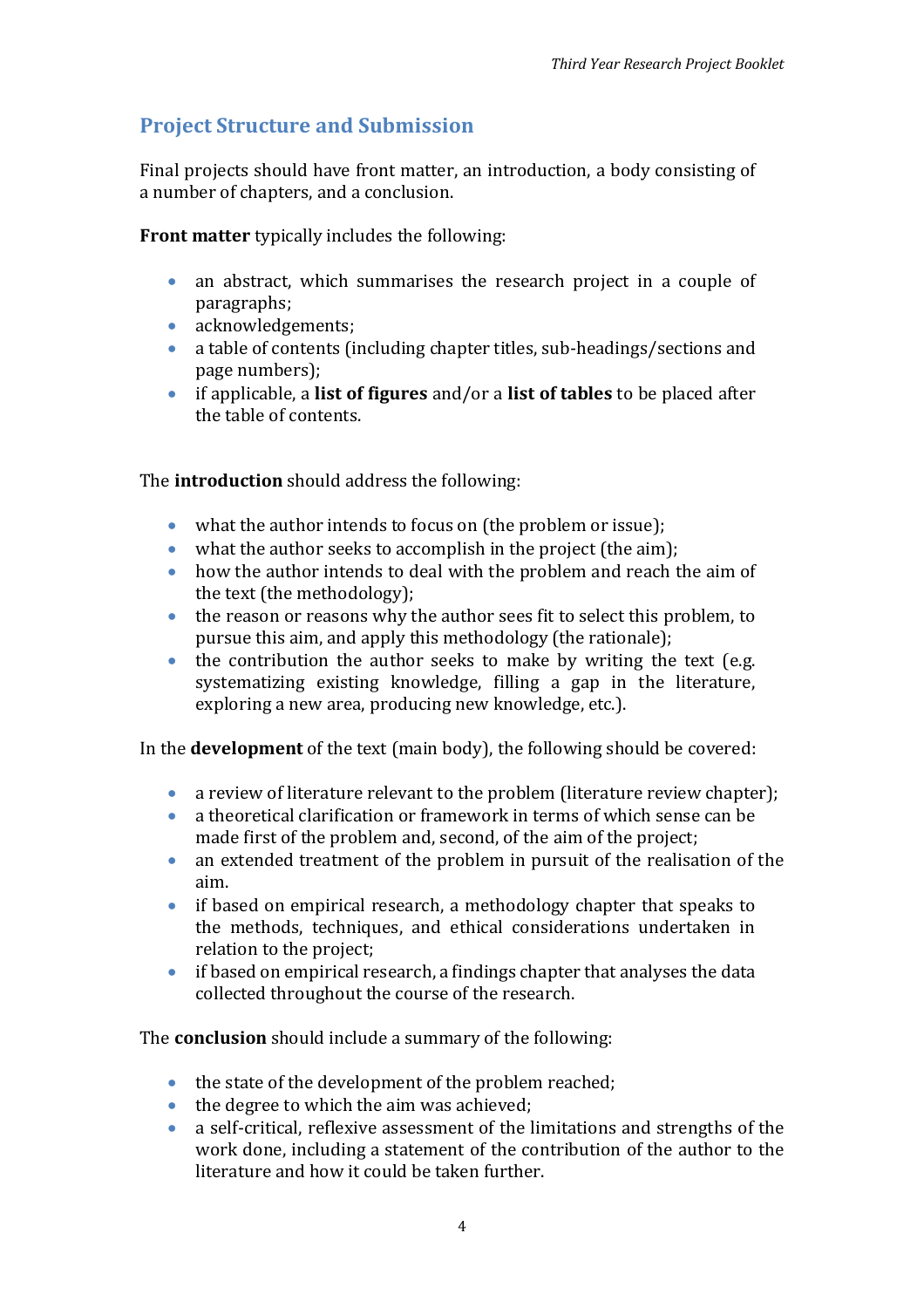# <span id="page-3-0"></span>**Project Structure and Submission**

Final projects should have front matter, an introduction, a body consisting of a number of chapters, and a conclusion.

**Front matter** typically includes the following:

- an abstract, which summarises the research project in a couple of paragraphs;
- acknowledgements;
- a table of contents (including chapter titles, sub-headings/sections and page numbers);
- if applicable, a **list of figures** and/or a **list of tables** to be placed after the table of contents.

The **introduction** should address the following:

- what the author intends to focus on (the problem or issue);
- what the author seeks to accomplish in the project (the aim):
- how the author intends to deal with the problem and reach the aim of the text (the methodology);
- the reason or reasons why the author sees fit to select this problem, to pursue this aim, and apply this methodology (the rationale);
- the contribution the author seeks to make by writing the text (e.g. systematizing existing knowledge, filling a gap in the literature, exploring a new area, producing new knowledge, etc.).

In the **development** of the text (main body), the following should be covered:

- a review of literature relevant to the problem (literature review chapter);
- a theoretical clarification or framework in terms of which sense can be made first of the problem and, second, of the aim of the project;
- an extended treatment of the problem in pursuit of the realisation of the aim.
- if based on empirical research, a methodology chapter that speaks to the methods, techniques, and ethical considerations undertaken in relation to the project;
- if based on empirical research, a findings chapter that analyses the data collected throughout the course of the research.

The **conclusion** should include a summary of the following:

- the state of the development of the problem reached;
- the degree to which the aim was achieved;
- a self-critical, reflexive assessment of the limitations and strengths of the work done, including a statement of the contribution of the author to the literature and how it could be taken further.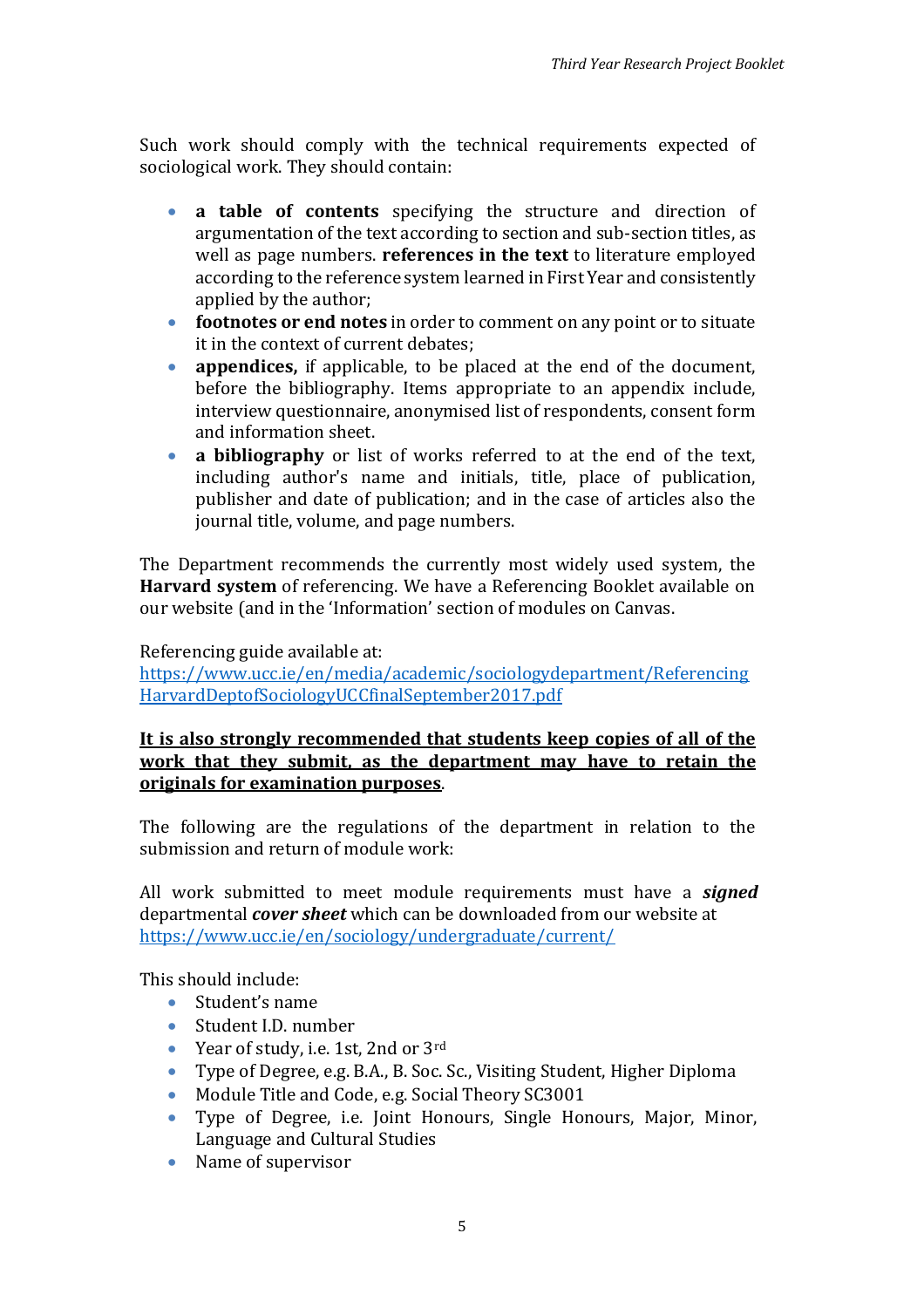Such work should comply with the technical requirements expected of sociological work. They should contain:

- **a table of contents** specifying the structure and direction of argumentation of the text according to section and sub-section titles, as well as page numbers. **references in the text** to literature employed according to the reference system learned in First Year and consistently applied by the author;
- **footnotes or end notes** in order to comment on any point or to situate it in the context of current debates;
- **appendices,** if applicable, to be placed at the end of the document, before the bibliography. Items appropriate to an appendix include, interview questionnaire, anonymised list of respondents, consent form and information sheet.
- **a bibliography** or list of works referred to at the end of the text, including author's name and initials, title, place of publication, publisher and date of publication; and in the case of articles also the journal title, volume, and page numbers.

The Department recommends the currently most widely used system, the **Harvard system** of referencing. We have a Referencing Booklet available on our website (and in the 'Information' section of modules on Canvas.

Referencing guide available at:

[https://www.ucc.ie/en/media/academic/sociologydepartment/Referencing](https://www.ucc.ie/en/media/academic/sociologydepartment/ReferencingHarvardDeptofSociologyUCCfinalSeptember2017.pdf) [HarvardDeptofSociologyUCCfinalSeptember2017.pdf](https://www.ucc.ie/en/media/academic/sociologydepartment/ReferencingHarvardDeptofSociologyUCCfinalSeptember2017.pdf)

### **It is also strongly recommended that students keep copies of all of the work that they submit, as the department may have to retain the originals for examination purposes**.

The following are the regulations of the department in relation to the submission and return of module work:

All work submitted to meet module requirements must have a *signed* departmental *cover sheet* which can be downloaded from our website at <https://www.ucc.ie/en/sociology/undergraduate/current/>

This should include:

- Student's name
	- Student I.D. number
	- Year of study, i.e. 1st, 2nd or 3rd
	- Type of Degree, e.g. B.A., B. Soc. Sc., Visiting Student, Higher Diploma
	- Module Title and Code, e.g. Social Theory SC3001
	- Type of Degree, i.e. Joint Honours, Single Honours, Major, Minor, Language and Cultural Studies
	- Name of supervisor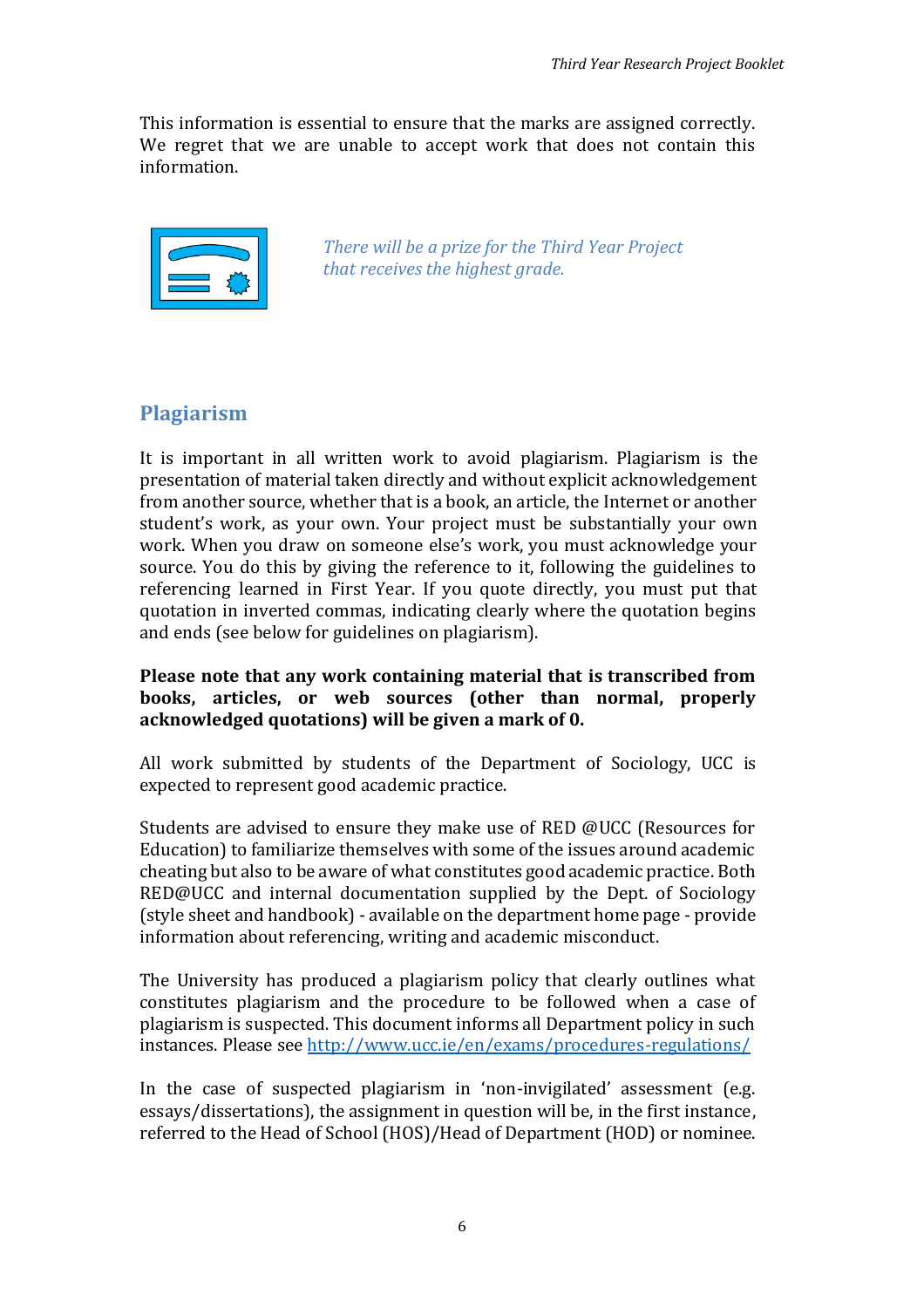This information is essential to ensure that the marks are assigned correctly. We regret that we are unable to accept work that does not contain this information.



*There will be a prize for the Third Year Project that receives the highest grade.*

## <span id="page-5-0"></span>**Plagiarism**

It is important in all written work to avoid plagiarism. Plagiarism is the presentation of material taken directly and without explicit acknowledgement from another source, whether that is a book, an article, the Internet or another student's work, as your own. Your project must be substantially your own work. When you draw on someone else's work, you must acknowledge your source. You do this by giving the reference to it, following the guidelines to referencing learned in First Year. If you quote directly, you must put that quotation in inverted commas, indicating clearly where the quotation begins and ends (see below for guidelines on plagiarism).

#### **Please note that any work containing material that is transcribed from books, articles, or web sources (other than normal, properly acknowledged quotations) will be given a mark of 0.**

All work submitted by students of the Department of Sociology, UCC is expected to represent good academic practice.

Students are advised to ensure they make use of RED @UCC (Resources for Education) to familiarize themselves with some of the issues around academic cheating but also to be aware of what constitutes good academic practice. Both RED@UCC and internal documentation supplied by the Dept. of Sociology (style sheet and handbook) - available on the department home page - provide information about referencing, writing and academic misconduct.

The University has produced a plagiarism policy that clearly outlines what constitutes plagiarism and the procedure to be followed when a case of plagiarism is suspected. This document informs all Department policy in such instances. Please see<http://www.ucc.ie/en/exams/procedures-regulations/>

In the case of suspected plagiarism in 'non-invigilated' assessment (e.g. essays/dissertations), the assignment in question will be, in the first instance, referred to the Head of School (HOS)/Head of Department (HOD) or nominee.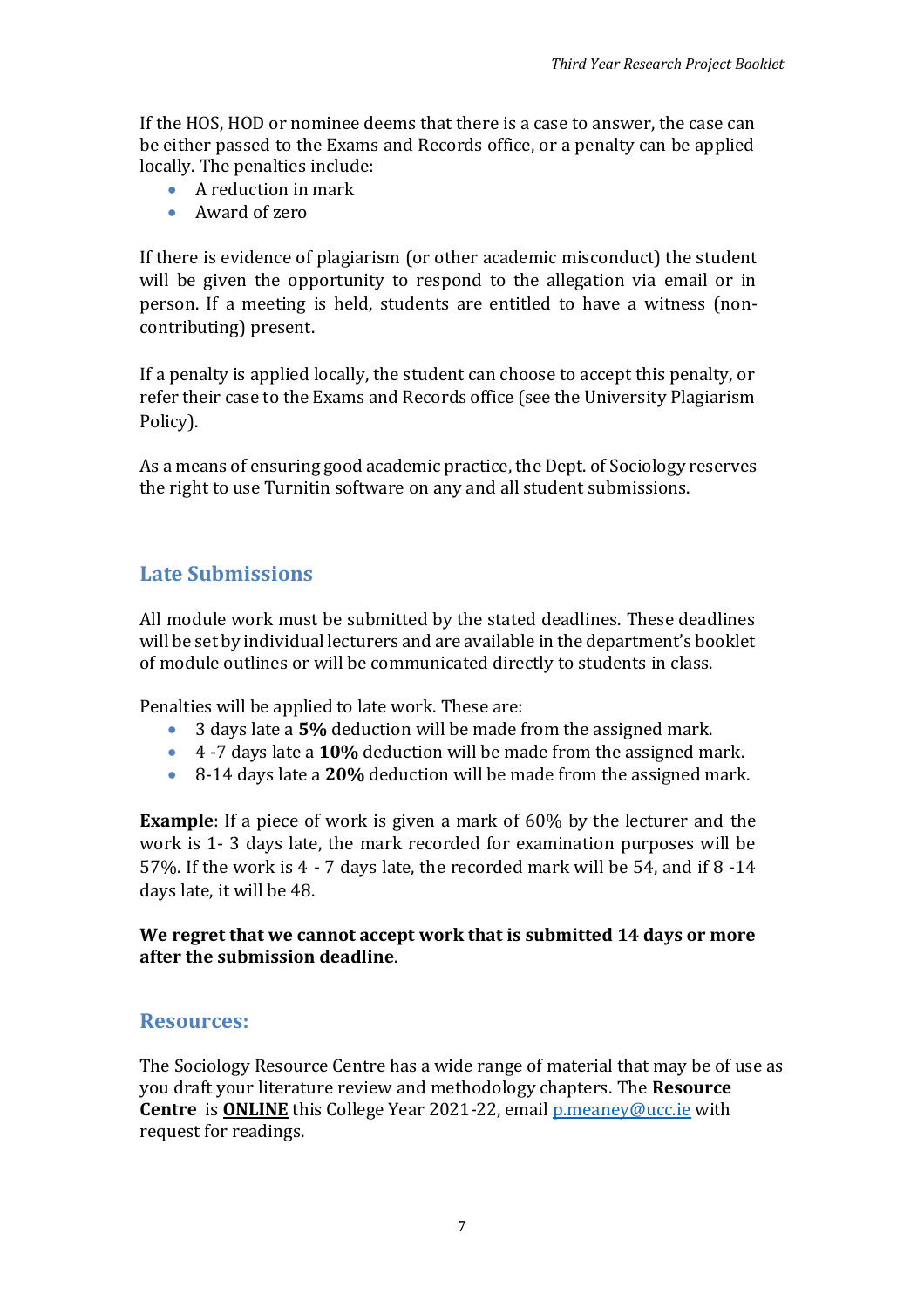If the HOS, HOD or nominee deems that there is a case to answer, the case can be either passed to the Exams and Records office, or a penalty can be applied locally. The penalties include:

- A reduction in mark
- Award of zero

If there is evidence of plagiarism (or other academic misconduct) the student will be given the opportunity to respond to the allegation via email or in person. If a meeting is held, students are entitled to have a witness (noncontributing) present.

If a penalty is applied locally, the student can choose to accept this penalty, or refer their case to the Exams and Records office (see the University Plagiarism Policy).

<span id="page-6-0"></span>As a means of ensuring good academic practice, the Dept. of Sociology reserves the right to use Turnitin software on any and all student submissions.

# **Late Submissions**

All module work must be submitted by the stated deadlines. These deadlines will be set by individual lecturers and are available in the department's booklet of module outlines or will be communicated directly to students in class.

Penalties will be applied to late work. These are:

- 3 days late a **5%** deduction will be made from the assigned mark.
- 4 -7 days late a **10%** deduction will be made from the assigned mark.
- 8-14 days late a **20%** deduction will be made from the assigned mark.

**Example**: If a piece of work is given a mark of 60% by the lecturer and the work is 1- 3 days late, the mark recorded for examination purposes will be 57%. If the work is 4 - 7 days late, the recorded mark will be 54, and if 8 -14 days late, it will be 48.

### **We regret that we cannot accept work that is submitted 14 days or more after the submission deadline**.

## <span id="page-6-1"></span>**Resources:**

The Sociology Resource Centre has a wide range of material that may be of use as you draft your literature review and methodology chapters. The **Resource Centre** is **ONLINE** this College Year 2021-22, email *p.meaney@ucc.ie* with request for readings.